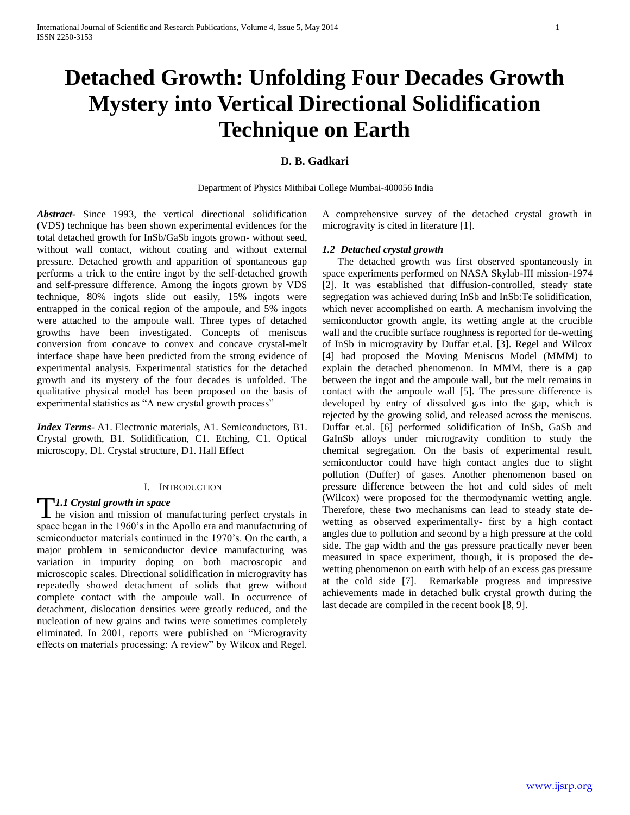# **Detached Growth: Unfolding Four Decades Growth Mystery into Vertical Directional Solidification Technique on Earth**

#### **D. B. Gadkari**

Department of Physics Mithibai College Mumbai-400056 India

*Abstract***-** Since 1993, the vertical directional solidification (VDS) technique has been shown experimental evidences for the total detached growth for InSb/GaSb ingots grown- without seed, without wall contact, without coating and without external pressure. Detached growth and apparition of spontaneous gap performs a trick to the entire ingot by the self-detached growth and self-pressure difference. Among the ingots grown by VDS technique, 80% ingots slide out easily, 15% ingots were entrapped in the conical region of the ampoule, and 5% ingots were attached to the ampoule wall. Three types of detached growths have been investigated. Concepts of meniscus conversion from concave to convex and concave crystal-melt interface shape have been predicted from the strong evidence of experimental analysis. Experimental statistics for the detached growth and its mystery of the four decades is unfolded. The qualitative physical model has been proposed on the basis of experimental statistics as "A new crystal growth process"

*Index Terms*- A1. Electronic materials, A1. Semiconductors, B1. Crystal growth, B1. Solidification, C1. Etching, C1. Optical microscopy, D1. Crystal structure, D1. Hall Effect

#### I. INTRODUCTION

#### *1.1 Crystal growth in space*

TI.1 Crystal growth in space<br>
he vision and mission of manufacturing perfect crystals in space began in the 1960's in the Apollo era and manufacturing of semiconductor materials continued in the 1970's. On the earth, a major problem in semiconductor device manufacturing was variation in impurity doping on both macroscopic and microscopic scales. Directional solidification in microgravity has repeatedly showed detachment of solids that grew without complete contact with the ampoule wall. In occurrence of detachment, dislocation densities were greatly reduced, and the nucleation of new grains and twins were sometimes completely eliminated. In 2001, reports were published on "Microgravity effects on materials processing: A review" by Wilcox and Regel.

A comprehensive survey of the detached crystal growth in microgravity is cited in literature [1].

#### *1.2 Detached crystal growth*

 The detached growth was first observed spontaneously in space experiments performed on NASA Skylab-III mission-1974 [2]. It was established that diffusion-controlled, steady state segregation was achieved during InSb and InSb:Te solidification, which never accomplished on earth. A mechanism involving the semiconductor growth angle, its wetting angle at the crucible wall and the crucible surface roughness is reported for de-wetting of InSb in microgravity by Duffar et.al. [3]. Regel and Wilcox [4] had proposed the Moving Meniscus Model (MMM) to explain the detached phenomenon. In MMM, there is a gap between the ingot and the ampoule wall, but the melt remains in contact with the ampoule wall [5]. The pressure difference is developed by entry of dissolved gas into the gap, which is rejected by the growing solid, and released across the meniscus. Duffar et.al. [6] performed solidification of InSb, GaSb and GaInSb alloys under microgravity condition to study the chemical segregation. On the basis of experimental result, semiconductor could have high contact angles due to slight pollution (Duffer) of gases. Another phenomenon based on pressure difference between the hot and cold sides of melt (Wilcox) were proposed for the thermodynamic wetting angle. Therefore, these two mechanisms can lead to steady state dewetting as observed experimentally- first by a high contact angles due to pollution and second by a high pressure at the cold side. The gap width and the gas pressure practically never been measured in space experiment, though, it is proposed the dewetting phenomenon on earth with help of an excess gas pressure at the cold side [7]. Remarkable progress and impressive achievements made in detached bulk crystal growth during the last decade are compiled in the recent book [8, 9].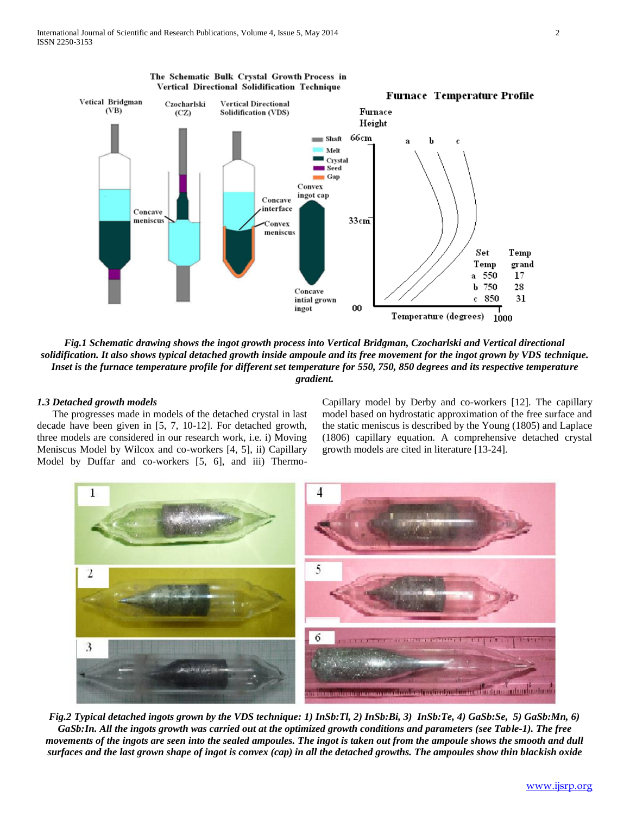

*Fig.1 Schematic drawing shows the ingot growth process into Vertical Bridgman, Czocharlski and Vertical directional solidification. It also shows typical detached growth inside ampoule and its free movement for the ingot grown by VDS technique. Inset is the furnace temperature profile for different set temperature for 550, 750, 850 degrees and its respective temperature gradient.*

#### *1.3 Detached growth models*

 The progresses made in models of the detached crystal in last decade have been given in [5, 7, 10-12]. For detached growth, three models are considered in our research work, i.e. i) Moving Meniscus Model by Wilcox and co-workers [4, 5], ii) Capillary Model by Duffar and co-workers [5, 6], and iii) ThermoCapillary model by Derby and co-workers [12]. The capillary model based on hydrostatic approximation of the free surface and the static meniscus is described by the Young (1805) and Laplace (1806) capillary equation. A comprehensive detached crystal growth models are cited in literature [13-24].



*Fig.2 Typical detached ingots grown by the VDS technique: 1) InSb:Tl, 2) InSb:Bi, 3) InSb:Te, 4) GaSb:Se, 5) GaSb:Mn, 6) GaSb:In. All the ingots growth was carried out at the optimized growth conditions and parameters (see Table-1). The free movements of the ingots are seen into the sealed ampoules. The ingot is taken out from the ampoule shows the smooth and dull surfaces and the last grown shape of ingot is convex (cap) in all the detached growths. The ampoules show thin blackish oxide*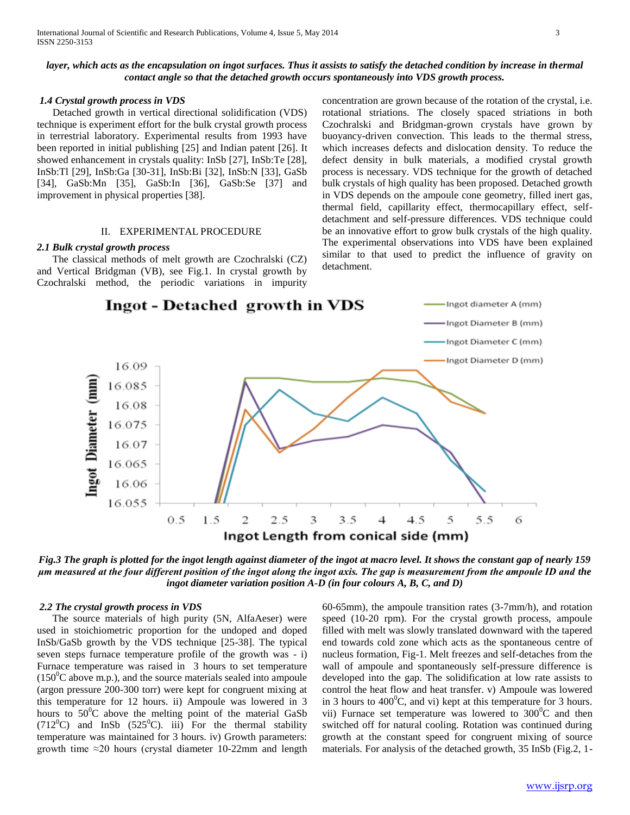#### layer, which acts as the encapsulation on ingot surfaces. Thus it assists to satisfy the detached condition by increase in thermal *contact angle so that the detached growth occurs spontaneously into VDS growth process.*

#### *1.4 Crystal growth process in VDS*

 Detached growth in vertical directional solidification (VDS) technique is experiment effort for the bulk crystal growth process in terrestrial laboratory. Experimental results from 1993 have been reported in initial publishing [25] and Indian patent [26]. It showed enhancement in crystals quality: InSb [27], InSb:Te [28], InSb:Tl [29], InSb:Ga [30-31], InSb:Bi [32], InSb:N [33], GaSb [34], GaSb:Mn [35], GaSb:In [36], GaSb:Se [37] and improvement in physical properties [38].

#### II. EXPERIMENTAL PROCEDURE

#### *2.1 Bulk crystal growth process*

 The classical methods of melt growth are Czochralski (CZ) and Vertical Bridgman (VB), see Fig.1. In crystal growth by Czochralski method, the periodic variations in impurity concentration are grown because of the rotation of the crystal, i.e. rotational striations. The closely spaced striations in both Czochralski and Bridgman-grown crystals have grown by buoyancy-driven convection. This leads to the thermal stress, which increases defects and dislocation density. To reduce the defect density in bulk materials, a modified crystal growth process is necessary. VDS technique for the growth of detached bulk crystals of high quality has been proposed. Detached growth in VDS depends on the ampoule cone geometry, filled inert gas, thermal field, capillarity effect, thermocapillary effect, selfdetachment and self-pressure differences. VDS technique could be an innovative effort to grow bulk crystals of the high quality. The experimental observations into VDS have been explained similar to that used to predict the influence of gravity on detachment.



*Fig.3 The graph is plotted for the ingot length against diameter of the ingot at macro level. It shows the constant gap of nearly 159 μm measured at the four different position of the ingot along the ingot axis. The gap is measurement from the ampoule ID and the ingot diameter variation position A-D (in four colours A, B, C, and D)*

#### *2.2 The crystal growth process in VDS*

 The source materials of high purity (5N, AlfaAeser) were used in stoichiometric proportion for the undoped and doped InSb/GaSb growth by the VDS technique [25-38]. The typical seven steps furnace temperature profile of the growth was - i) Furnace temperature was raised in 3 hours to set temperature  $(150^0C)$  above m.p.), and the source materials sealed into ampoule (argon pressure 200-300 torr) were kept for congruent mixing at this temperature for 12 hours. ii) Ampoule was lowered in 3 hours to  $50^{\circ}$ C above the melting point of the material GaSb (712<sup>°</sup>C) and InSb (525<sup>°</sup>C). iii) For the thermal stability temperature was maintained for 3 hours. iv) Growth parameters: growth time  $\approx$ 20 hours (crystal diameter 10-22mm and length

60-65mm), the ampoule transition rates (3-7mm/h), and rotation speed (10-20 rpm). For the crystal growth process, ampoule filled with melt was slowly translated downward with the tapered end towards cold zone which acts as the spontaneous centre of nucleus formation, Fig-1. Melt freezes and self-detaches from the wall of ampoule and spontaneously self-pressure difference is developed into the gap. The solidification at low rate assists to control the heat flow and heat transfer. v) Ampoule was lowered in 3 hours to  $400^{\circ}$ C, and vi) kept at this temperature for 3 hours. vii) Furnace set temperature was lowered to  $300^{\circ}$ C and then switched off for natural cooling. Rotation was continued during growth at the constant speed for congruent mixing of source materials. For analysis of the detached growth, 35 InSb (Fig.2, 1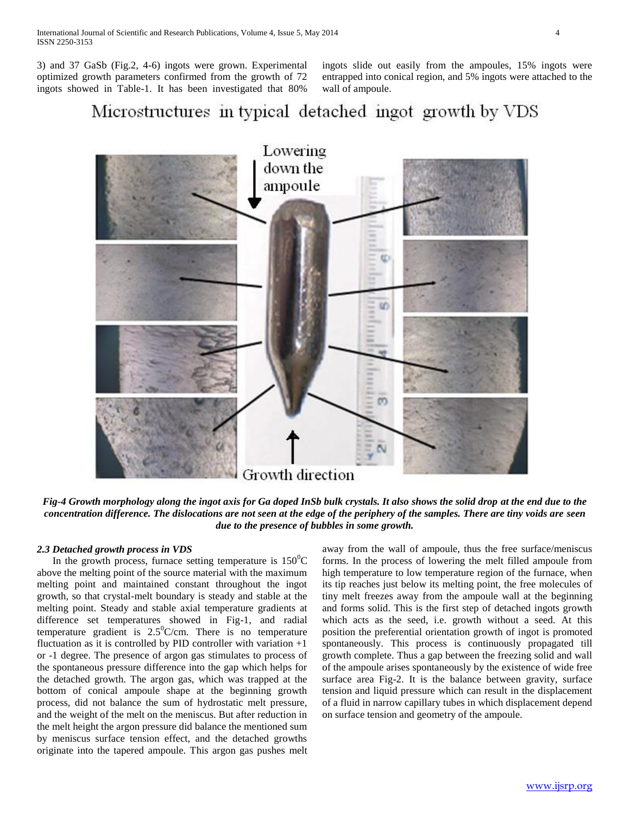3) and 37 GaSb (Fig.2, 4-6) ingots were grown. Experimental optimized growth parameters confirmed from the growth of 72 ingots showed in Table-1. It has been investigated that 80%

ingots slide out easily from the ampoules, 15% ingots were entrapped into conical region, and 5% ingots were attached to the wall of ampoule.

## Microstructures in typical detached ingot growth by VDS



*Fig-4 Growth morphology along the ingot axis for Ga doped InSb bulk crystals. It also shows the solid drop at the end due to the concentration difference. The dislocations are not seen at the edge of the periphery of the samples. There are tiny voids are seen due to the presence of bubbles in some growth.*

#### *2.3 Detached growth process in VDS*

In the growth process, furnace setting temperature is  $150^{\circ}$ C above the melting point of the source material with the maximum melting point and maintained constant throughout the ingot growth, so that crystal-melt boundary is steady and stable at the melting point. Steady and stable axial temperature gradients at difference set temperatures showed in Fig-1, and radial temperature gradient is  $2.5^{\circ}$ C/cm. There is no temperature fluctuation as it is controlled by PID controller with variation  $+1$ or -1 degree. The presence of argon gas stimulates to process of the spontaneous pressure difference into the gap which helps for the detached growth. The argon gas, which was trapped at the bottom of conical ampoule shape at the beginning growth process, did not balance the sum of hydrostatic melt pressure, and the weight of the melt on the meniscus. But after reduction in the melt height the argon pressure did balance the mentioned sum by meniscus surface tension effect, and the detached growths originate into the tapered ampoule. This argon gas pushes melt away from the wall of ampoule, thus the free surface/meniscus forms. In the process of lowering the melt filled ampoule from high temperature to low temperature region of the furnace, when its tip reaches just below its melting point, the free molecules of tiny melt freezes away from the ampoule wall at the beginning and forms solid. This is the first step of detached ingots growth which acts as the seed, i.e. growth without a seed. At this position the preferential orientation growth of ingot is promoted spontaneously. This process is continuously propagated till growth complete. Thus a gap between the freezing solid and wall of the ampoule arises spontaneously by the existence of wide free surface area Fig-2. It is the balance between gravity, surface tension and liquid pressure which can result in the displacement of a fluid in narrow capillary tubes in which displacement depend on surface tension and geometry of the ampoule.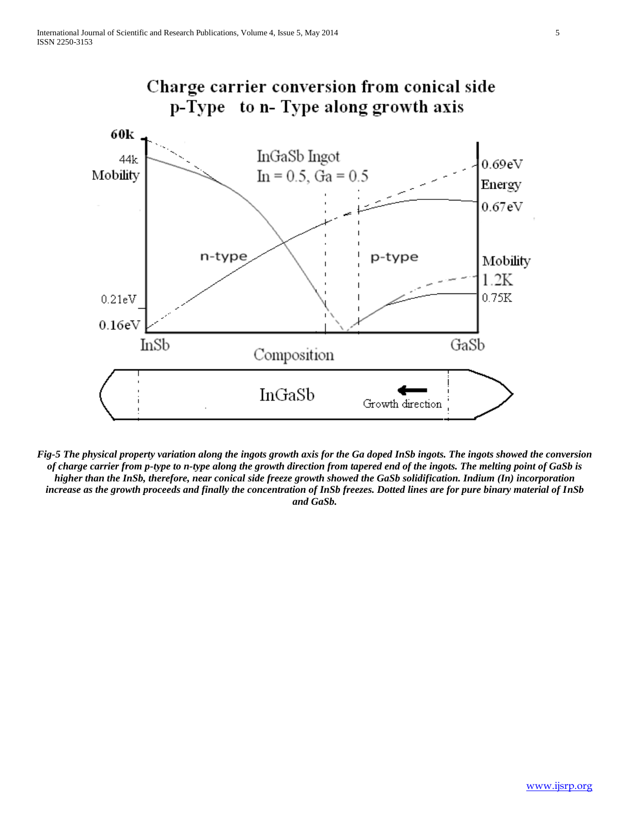

*Fig-5 The physical property variation along the ingots growth axis for the Ga doped InSb ingots. The ingots showed the conversion of charge carrier from p-type to n-type along the growth direction from tapered end of the ingots. The melting point of GaSb is higher than the InSb, therefore, near conical side freeze growth showed the GaSb solidification. Indium (In) incorporation increase as the growth proceeds and finally the concentration of InSb freezes. Dotted lines are for pure binary material of InSb and GaSb.*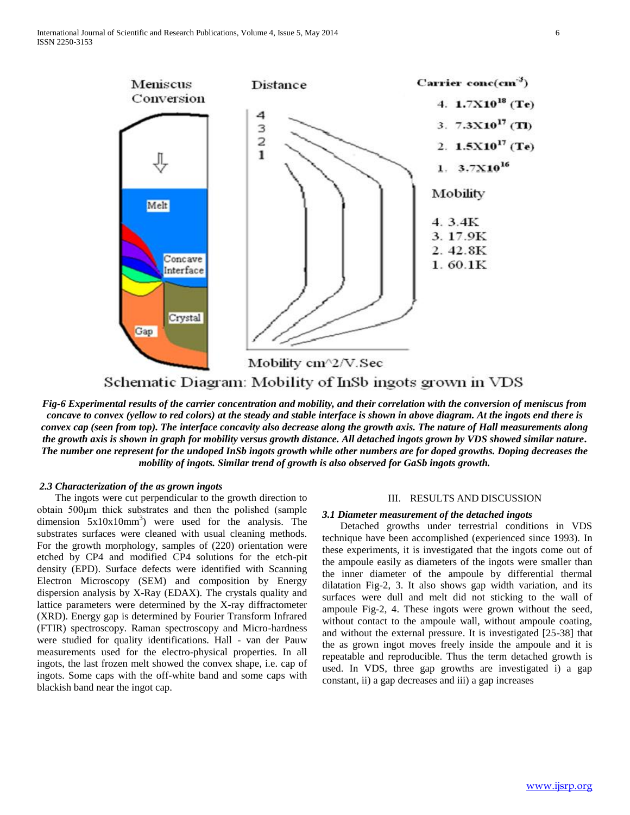

Schematic Diagram: Mobility of InSb ingots grown in VDS

*Fig-6 Experimental results of the carrier concentration and mobility, and their correlation with the conversion of meniscus from concave to convex (yellow to red colors) at the steady and stable interface is shown in above diagram. At the ingots end there is convex cap (seen from top). The interface concavity also decrease along the growth axis. The nature of Hall measurements along the growth axis is shown in graph for mobility versus growth distance. All detached ingots grown by VDS showed similar nature. The number one represent for the undoped InSb ingots growth while other numbers are for doped growths. Doping decreases the mobility of ingots. Similar trend of growth is also observed for GaSb ingots growth.*

#### *2.3 Characterization of the as grown ingots*

 The ingots were cut perpendicular to the growth direction to obtain 500μm thick substrates and then the polished (sample dimension  $5x10x10mm^3$  were used for the analysis. The substrates surfaces were cleaned with usual cleaning methods. For the growth morphology, samples of (220) orientation were etched by CP4 and modified CP4 solutions for the etch-pit density (EPD). Surface defects were identified with Scanning Electron Microscopy (SEM) and composition by Energy dispersion analysis by X-Ray (EDAX). The crystals quality and lattice parameters were determined by the X-ray diffractometer (XRD). Energy gap is determined by Fourier Transform Infrared (FTIR) spectroscopy. Raman spectroscopy and Micro-hardness were studied for quality identifications. Hall - van der Pauw measurements used for the electro-physical properties. In all ingots, the last frozen melt showed the convex shape, i.e. cap of ingots. Some caps with the off-white band and some caps with blackish band near the ingot cap.

#### III. RESULTS AND DISCUSSION

#### *3.1 Diameter measurement of the detached ingots*

 Detached growths under terrestrial conditions in VDS technique have been accomplished (experienced since 1993). In these experiments, it is investigated that the ingots come out of the ampoule easily as diameters of the ingots were smaller than the inner diameter of the ampoule by differential thermal dilatation Fig-2, 3. It also shows gap width variation, and its surfaces were dull and melt did not sticking to the wall of ampoule Fig-2, 4. These ingots were grown without the seed, without contact to the ampoule wall, without ampoule coating, and without the external pressure. It is investigated [25-38] that the as grown ingot moves freely inside the ampoule and it is repeatable and reproducible. Thus the term detached growth is used. In VDS, three gap growths are investigated i) a gap constant, ii) a gap decreases and iii) a gap increases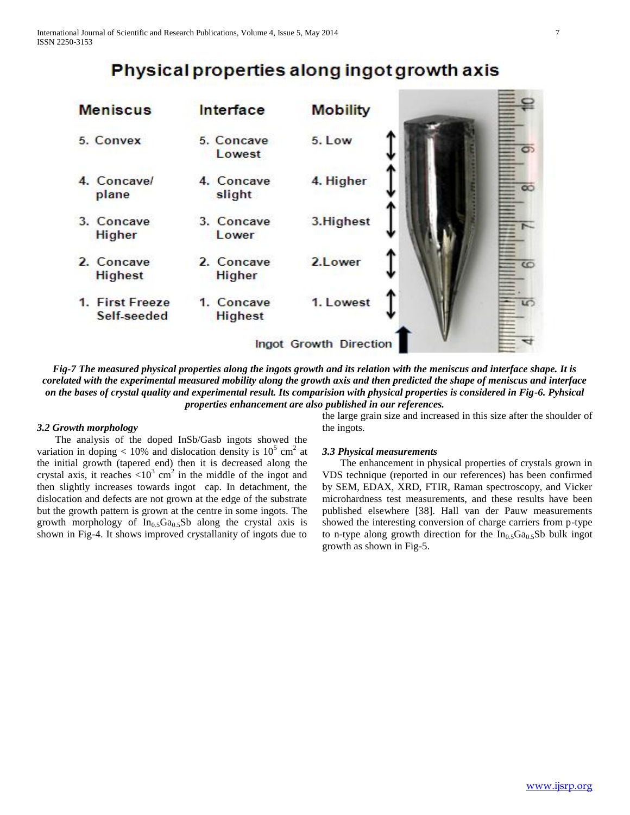## Physical properties along ingot growth axis



*Fig-7 The measured physical properties along the ingots growth and its relation with the meniscus and interface shape. It is corelated with the experimental measured mobility along the growth axis and then predicted the shape of meniscus and interface on the bases of crystal quality and experimental result. Its comparision with physical properties is considered in Fig-6. Pyhsical properties enhancement are also published in our references.*

#### *3.2 Growth morphology*

The analysis of the doped InSb/Gasb ingots showed the variation in doping < 10% and dislocation density is  $10^5$  cm<sup>2</sup> at the initial growth (tapered end) then it is decreased along the crystal axis, it reaches  $\langle 10^3 \text{ cm}^2 \rangle$  in the middle of the ingot and then slightly increases towards ingot cap. In detachment, the dislocation and defects are not grown at the edge of the substrate but the growth pattern is grown at the centre in some ingots. The growth morphology of  $In<sub>0.5</sub>Ga<sub>0.5</sub>Sb$  along the crystal axis is shown in Fig-4. It shows improved crystallanity of ingots due to

the large grain size and increased in this size after the shoulder of the ingots.

#### *3.3 Physical measurements*

The enhancement in physical properties of crystals grown in VDS technique (reported in our references) has been confirmed by SEM, EDAX, XRD, FTIR, Raman spectroscopy, and Vicker microhardness test measurements, and these results have been published elsewhere [38]. Hall van der Pauw measurements showed the interesting conversion of charge carriers from p-type to n-type along growth direction for the  $In_0, Ga_0, SB$  bulk ingot growth as shown in Fig-5.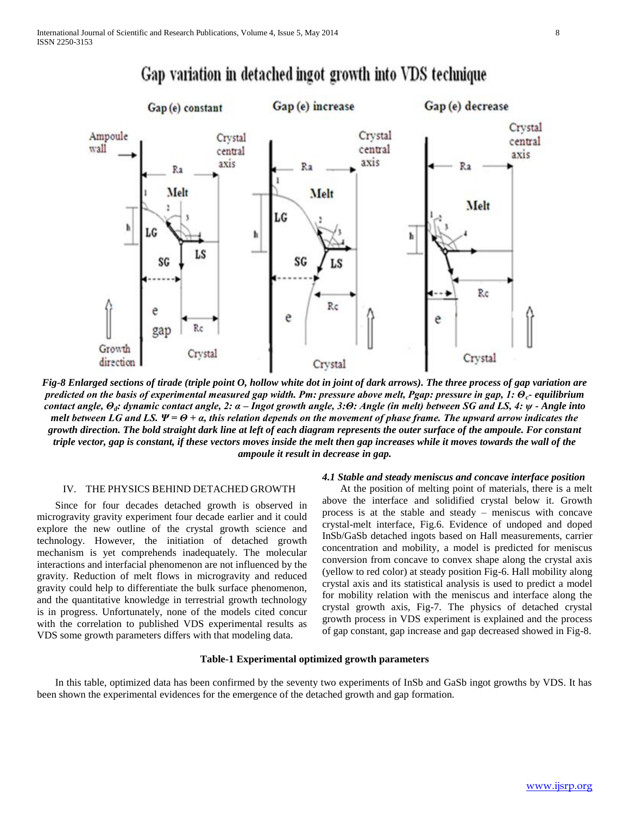

### Gap variation in detached ingot growth into VDS technique

*Fig-8 Enlarged sections of tirade (triple point O, hollow white dot in joint of dark arrows). The three process of gap variation are predicted on the basis of experimental measured gap width. Pm: pressure above melt, Pgap: pressure in gap, 1: Θc- equilibrium contact angle, Θd: dynamic contact angle, 2: α – Ingot growth angle, 3:Θ: Angle (in melt) between SG and LS, 4: ψ - Angle into melt between LG and LS.*  $\Psi = \Theta + \alpha$ , this relation depends on the movement of phase frame. The upward arrow indicates the *growth direction. The bold straight dark line at left of each diagram represents the outer surface of the ampoule. For constant triple vector, gap is constant, if these vectors moves inside the melt then gap increases while it moves towards the wall of the ampoule it result in decrease in gap.*

#### IV. THE PHYSICS BEHIND DETACHED GROWTH

Since for four decades detached growth is observed in microgravity gravity experiment four decade earlier and it could explore the new outline of the crystal growth science and technology. However, the initiation of detached growth mechanism is yet comprehends inadequately. The molecular interactions and interfacial phenomenon are not influenced by the gravity. Reduction of melt flows in microgravity and reduced gravity could help to differentiate the bulk surface phenomenon, and the quantitative knowledge in terrestrial growth technology is in progress. Unfortunately, none of the models cited concur with the correlation to published VDS experimental results as VDS some growth parameters differs with that modeling data.

#### *4.1 Stable and steady meniscus and concave interface position*

At the position of melting point of materials, there is a melt above the interface and solidified crystal below it. Growth process is at the stable and steady – meniscus with concave crystal-melt interface, Fig.6. Evidence of undoped and doped InSb/GaSb detached ingots based on Hall measurements, carrier concentration and mobility, a model is predicted for meniscus conversion from concave to convex shape along the crystal axis (yellow to red color) at steady position Fig-6. Hall mobility along crystal axis and its statistical analysis is used to predict a model for mobility relation with the meniscus and interface along the crystal growth axis, Fig-7. The physics of detached crystal growth process in VDS experiment is explained and the process of gap constant, gap increase and gap decreased showed in Fig-8.

#### **Table-1 Experimental optimized growth parameters**

 In this table, optimized data has been confirmed by the seventy two experiments of InSb and GaSb ingot growths by VDS. It has been shown the experimental evidences for the emergence of the detached growth and gap formation.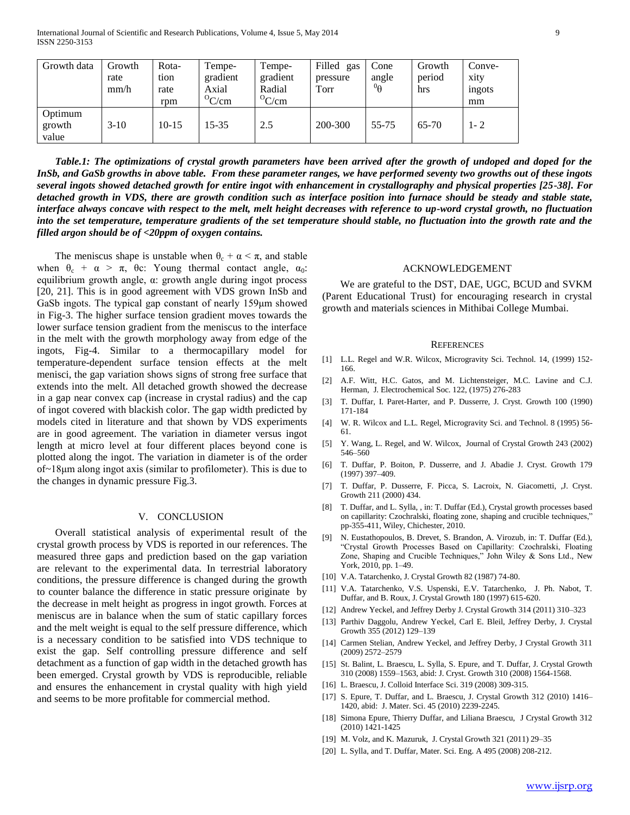| Growth data                | Growth | Rota-   | Tempe-        | Tempe-        | Filled gas | Cone            | Growth  | Conve-  |
|----------------------------|--------|---------|---------------|---------------|------------|-----------------|---------|---------|
|                            | rate   | tion    | gradient      | gradient      | pressure   | angle           | period  | xity    |
|                            | mm/h   | rate    | Axial         | Radial        | Torr       | $^{0}$ $\theta$ | hrs     | ingots  |
|                            |        | rpm     | ${}^{0}$ C/cm | ${}^{0}$ C/cm |            |                 |         | mm      |
| Optimum<br>growth<br>value | $3-10$ | $10-15$ | 15-35         | 2.5           | 200-300    | 55-75           | $65-70$ | $1 - 2$ |

 *Table.1: The optimizations of crystal growth parameters have been arrived after the growth of undoped and doped for the InSb, and GaSb growths in above table. From these parameter ranges, we have performed seventy two growths out of these ingots several ingots showed detached growth for entire ingot with enhancement in crystallography and physical properties [25-38]. For detached growth in VDS, there are growth condition such as interface position into furnace should be steady and stable state, interface always concave with respect to the melt, melt height decreases with reference to up-word crystal growth, no fluctuation into the set temperature, temperature gradients of the set temperature should stable, no fluctuation into the growth rate and the filled argon should be of <20ppm of oxygen contains.*

The meniscus shape is unstable when  $\theta_c + \alpha < \pi$ , and stable when  $\theta_c + \alpha > \pi$ ,  $\theta_c$ : Young thermal contact angle,  $\alpha_0$ : equilibrium growth angle, α: growth angle during ingot process [20, 21]. This is in good agreement with VDS grown InSb and GaSb ingots. The typical gap constant of nearly 159μm showed in Fig-3. The higher surface tension gradient moves towards the lower surface tension gradient from the meniscus to the interface in the melt with the growth morphology away from edge of the ingots, Fig-4. Similar to a thermocapillary model for temperature-dependent surface tension effects at the melt menisci, the gap variation shows signs of strong free surface that extends into the melt. All detached growth showed the decrease in a gap near convex cap (increase in crystal radius) and the cap of ingot covered with blackish color. The gap width predicted by models cited in literature and that shown by VDS experiments are in good agreement. The variation in diameter versus ingot length at micro level at four different places beyond cone is plotted along the ingot. The variation in diameter is of the order of~18μm along ingot axis (similar to profilometer). This is due to the changes in dynamic pressure Fig.3.

#### V. CONCLUSION

 Overall statistical analysis of experimental result of the crystal growth process by VDS is reported in our references. The measured three gaps and prediction based on the gap variation are relevant to the experimental data. In terrestrial laboratory conditions, the pressure difference is changed during the growth to counter balance the difference in static pressure originate by the decrease in melt height as progress in ingot growth. Forces at meniscus are in balance when the sum of static capillary forces and the melt weight is equal to the self pressure difference, which is a necessary condition to be satisfied into VDS technique to exist the gap. Self controlling pressure difference and self detachment as a function of gap width in the detached growth has been emerged. Crystal growth by VDS is reproducible, reliable and ensures the enhancement in crystal quality with high yield and seems to be more profitable for commercial method.

#### ACKNOWLEDGEMENT

 We are grateful to the DST, DAE, UGC, BCUD and SVKM (Parent Educational Trust) for encouraging research in crystal growth and materials sciences in Mithibai College Mumbai.

#### **REFERENCES**

- [1] L.L. Regel and W.R. Wilcox, Microgravity Sci. Technol. 14, (1999) 152- 166.
- [2] A.F. Witt, H.C. Gatos, and M. Lichtensteiger, M.C. Lavine and C.J. Herman, J. Electrochemical Soc. 122, (1975) 276-283
- [3] T. Duffar, I. Paret-Harter, and P. Dusserre, J. Cryst. Growth 100 (1990) 171-184
- [4] W. R. Wilcox and L.L. Regel, Microgravity Sci. and Technol. 8 (1995) 56- 61.
- [5] Y. Wang, L. Regel, and W. Wilcox, Journal of Crystal Growth 243 (2002) 546–560
- [6] T. Duffar, P. Boiton, P. Dusserre, and J. Abadie J. Cryst. Growth 179 (1997) 397–409.
- [7] T. Duffar, P. Dusserre, F. Picca, S. Lacroix, N. Giacometti, ,J. Cryst. Growth 211 (2000) 434.
- [8] T. Duffar, and L. Sylla, , in: T. Duffar (Ed.), Crystal growth processes based on capillarity: Czochralski, floating zone, shaping and crucible techniques," pp-355-411, Wiley, Chichester, 2010.
- [9] N. Eustathopoulos, B. Drevet, S. Brandon, A. Virozub, in: T. Duffar (Ed.), "Crystal Growth Processes Based on Capillarity: Czochralski, Floating Zone, Shaping and Crucible Techniques," John Wiley & Sons Ltd., New York, 2010, pp. 1–49.
- [10] V.A. Tatarchenko, J. Crystal Growth 82 (1987) 74-80.
- [11] V.A. Tatarchenko, V.S. Uspenski, E.V. Tatarchenko, J. Ph. Nabot, T. Duffar, and B. Roux, J. Crystal Growth 180 (1997) 615-620.
- [12] Andrew Yeckel, and Jeffrey Derby J. Crystal Growth 314 (2011) 310–323
- [13] Parthiv Daggolu, Andrew Yeckel, Carl E. Bleil, Jeffrey Derby, J. Crystal Growth 355 (2012) 129–139
- [14] Carmen Stelian, Andrew Yeckel, and Jeffrey Derby, J Crystal Growth 311 (2009) 2572–2579
- [15] St. Balint, L. Braescu, L. Sylla, S. Epure, and T. Duffar, J. Crystal Growth 310 (2008) 1559–1563, abid: J. Cryst. Growth 310 (2008) 1564-1568.
- [16] L. Braescu, J. Colloid Interface Sci. 319 (2008) 309-315.
- [17] S. Epure, T. Duffar, and L. Braescu, J. Crystal Growth 312 (2010) 1416– 1420, abid: J. Mater. Sci. 45 (2010) 2239-2245.
- [18] Simona Epure, Thierry Duffar, and Liliana Braescu, J Crystal Growth 312 (2010) 1421-1425
- [19] M. Volz, and K. Mazuruk, J. Crystal Growth 321 (2011) 29–35
- [20] L. Sylla, and T. Duffar, Mater. Sci. Eng. A 495 (2008) 208-212.